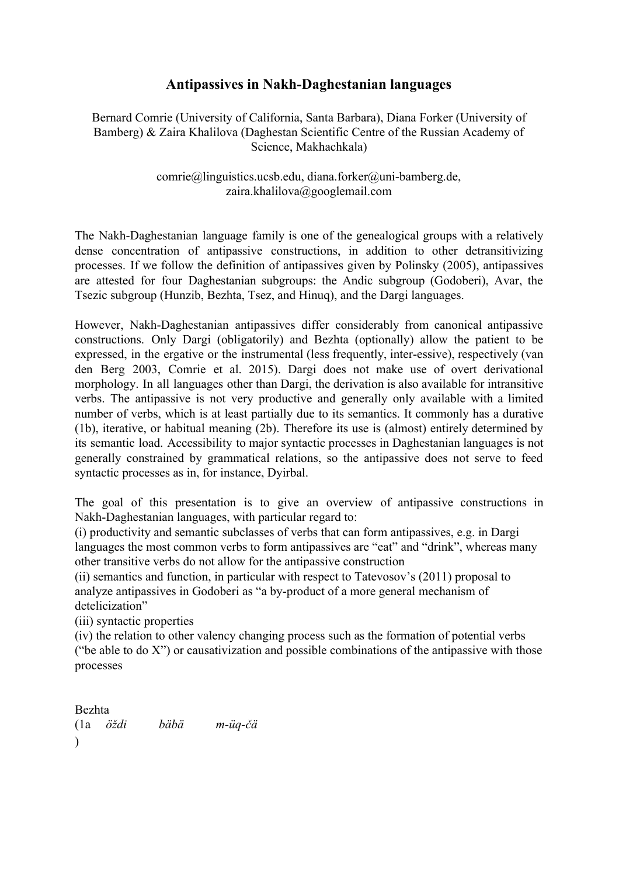## **Antipassives in Nakh-Daghestanian languages**

## Bernard Comrie (University of California, Santa Barbara), Diana Forker (University of Bamberg) & Zaira Khalilova (Daghestan Scientific Centre of the Russian Academy of Science, Makhachkala)

## $comrie@linguistics. ucsb.edu, diana. for ker@uni-bamberg.de,$ zaira.khalilova@googlemail.com

The Nakh-Daghestanian language family is one of the genealogical groups with a relatively dense concentration of antipassive constructions, in addition to other detransitivizing processes. If we follow the definition of antipassives given by Polinsky (2005), antipassives are attested for four Daghestanian subgroups: the Andic subgroup (Godoberi), Avar, the Tsezic subgroup (Hunzib, Bezhta, Tsez, and Hinuq), and the Dargi languages.

However, Nakh-Daghestanian antipassives differ considerably from canonical antipassive constructions. Only Dargi (obligatorily) and Bezhta (optionally) allow the patient to be expressed, in the ergative or the instrumental (less frequently, interessive), respectively (van den Berg 2003, Comrie et al. 2015). Dargi does not make use of overt derivational morphology. In all languages other than Dargi, the derivation is also available for intransitive verbs. The antipassive is not very productive and generally only available with a limited number of verbs, which is at least partially due to its semantics. It commonly has a durative (1b), iterative, or habitual meaning (2b). Therefore its use is (almost) entirely determined by its semantic load. Accessibility to major syntactic processes in Daghestanian languages is not generally constrained by grammatical relations, so the antipassive does not serve to feed syntactic processes as in, for instance, Dyirbal.

The goal of this presentation is to give an overview of antipassive constructions in Nakh-Daghestanian languages, with particular regard to:

(i) productivity and semantic subclasses of verbs that can form antipassives, e.g. in Dargi languages the most common verbs to form antipassives are "eat" and "drink", whereas many other transitive verbs do not allow for the antipassive construction

(ii) semantics and function, in particular with respect to Tatevosov's (2011) proposal to analyze antipassives in Godoberi as "a by-product of a more general mechanism of detelicization"

(iii) syntactic properties

(iv) the relation to other valency changing process such as the formation of potential verbs ("be able to do  $X$ ") or causativization and possible combinations of the antipassive with those processes

Bezhta  $(1a \quad \ddot{o} \dot{z} di)$  $\lambda$ *öždi bäbä müqčä*